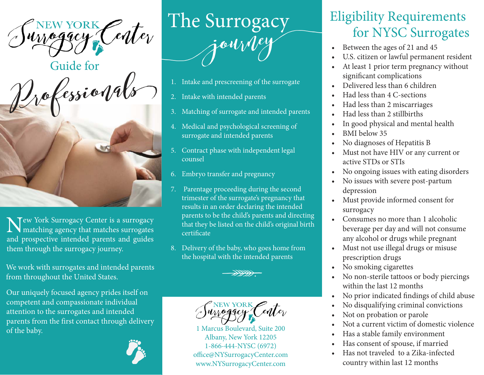urrogacy





N Tew York Surrogacy Center is a surrogacy matching agency that matches surrogates and prospective intended parents and guides them through the surrogacy journey.

We work with surrogates and intended parents from throughout the United States.

Our uniquely focused agency prides itself on competent and compassionate individual attention to the surrogates and intended parents from the first contact through delivery of the baby.



## $\begin{array}{c|c} \mathcal{E}_{\mathcal{U}}\left(\mathcal{F}_{\mathcal{U}}\right)=\mathcal{F}_{\mathcal{U}}\left(\mathcal{F}_{\mathcal{U}}\right)=\mathcal{F}_{\mathcal{U}}\left(\mathcal{F}_{\mathcal{U}}\right)=\mathcal{F}_{\mathcal{U}}\left(\mathcal{F}_{\mathcal{U}}\right)=\mathcal{F}_{\mathcal{U}}\left(\mathcal{F}_{\mathcal{U}}\right)=\mathcal{F}_{\mathcal{U}}\left(\mathcal{F}_{\mathcal{U}}\right)=\mathcal{F}_{\mathcal{U}}\left(\mathcal{F}_{\mathcal{U}}\right)=\mathcal{F}_{\math$

- 1. Intake and prescreening of the surrogate
- 2. Intake with intended parents
- 3. Matching of surrogate and intended parents
- 4. Medical and psychological screening of surrogate and intended parents
- 5. Contract phase with independent legal counsel
- 6. Embryo transfer and pregnancy
- 7. Parentage proceeding during the second trimester of the surrogate's pregnancy that results in an order declaring the intended parents to be the child's parents and directing that they be listed on the child's original birth certificate
- 8. Delivery of the baby, who goes home from the hospital with the intended parents<br>
ANDE

NEW YORK Center

1 Marcus Boulevard, Suite 200 Albany, New York 12205 1-866-444-NYSC (6972) office@NYSurrogacyCenter.com www.NYSurrogacyCenter.com

## for NYSC Surrogates Eligibility Requirements

- Between the ages of 21 and 45
- U.S. citizen or lawful permanent resident
- At least 1 prior term pregnancy without significant complications
- Delivered less than 6 children
- Had less than 4 C-sections
- Had less than 2 miscarriages
- Had less than 2 stillbirths
- In good physical and mental health
- BMI below 35
- No diagnoses of Hepatitis B
- Must not have HIV or any current or active STDs or STIs
- No ongoing issues with eating disorders
- No issues with severe post-partum depression
- Must provide informed consent for surrogacy
- Consumes no more than 1 alcoholic beverage per day and will not consume any alcohol or drugs while pregnant
- Must not use illegal drugs or misuse prescription drugs
- No smoking cigarettes
- No non-sterile tattoos or body piercings within the last 12 months
- No prior indicated findings of child abuse
- No disqualifying criminal convictions
- Not on probation or parole
- Not a current victim of domestic violence
- Has a stable family environment
- Has consent of spouse, if married
- Has not traveled to a Zika-infected country within last 12 months